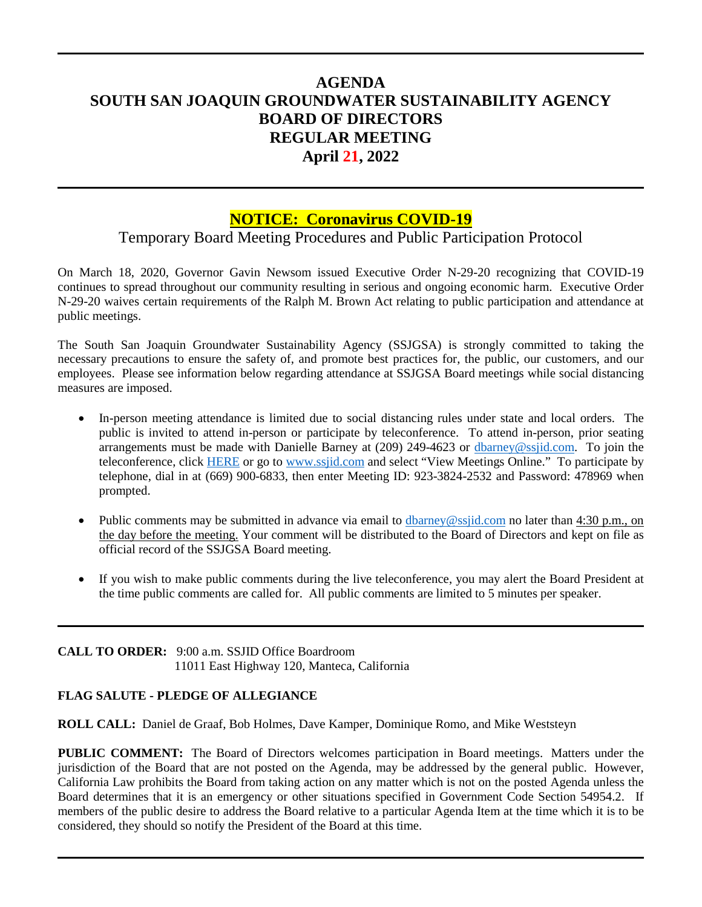## **AGENDA SOUTH SAN JOAQUIN GROUNDWATER SUSTAINABILITY AGENCY BOARD OF DIRECTORS REGULAR MEETING April 21, 2022**

# **NOTICE: Coronavirus COVID-19**

Temporary Board Meeting Procedures and Public Participation Protocol

On March 18, 2020, Governor Gavin Newsom issued Executive Order N-29-20 recognizing that COVID-19 continues to spread throughout our community resulting in serious and ongoing economic harm. Executive Order N-29-20 waives certain requirements of the Ralph M. Brown Act relating to public participation and attendance at public meetings.

The South San Joaquin Groundwater Sustainability Agency (SSJGSA) is strongly committed to taking the necessary precautions to ensure the safety of, and promote best practices for, the public, our customers, and our employees. Please see information below regarding attendance at SSJGSA Board meetings while social distancing measures are imposed.

- In-person meeting attendance is limited due to social distancing rules under state and local orders. The public is invited to attend in-person or participate by teleconference. To attend in-person, prior seating arrangements must be made with Danielle Barney at (209) 249-4623 or [dbarney@ssjid.com.](mailto:dbarney@ssjid.com) To join the teleconference, click [HERE](https://ssjid.zoom.us/j/92338242532?pwd=NFZiTDJzY1VtaUphZU5wL3dhVEx3dz09#success) or go to [www.ssjid.com](http://www.ssjid.com/) and select "View Meetings Online." To participate by telephone, dial in at (669) 900-6833, then enter Meeting ID: 923-3824-2532 and Password: 478969 when prompted.
- Public comments may be submitted in advance via email to  $\underline{d}$ barney@ssjid.com no later than  $4:30$  p.m., on the day before the meeting. Your comment will be distributed to the Board of Directors and kept on file as official record of the SSJGSA Board meeting.
- If you wish to make public comments during the live teleconference, you may alert the Board President at the time public comments are called for. All public comments are limited to 5 minutes per speaker.

**CALL TO ORDER:** 9:00 a.m. SSJID Office Boardroom 11011 East Highway 120, Manteca, California

## **FLAG SALUTE - PLEDGE OF ALLEGIANCE**

**ROLL CALL:** Daniel de Graaf, Bob Holmes, Dave Kamper, Dominique Romo, and Mike Weststeyn

**PUBLIC COMMENT:** The Board of Directors welcomes participation in Board meetings. Matters under the jurisdiction of the Board that are not posted on the Agenda, may be addressed by the general public. However, California Law prohibits the Board from taking action on any matter which is not on the posted Agenda unless the Board determines that it is an emergency or other situations specified in Government Code Section 54954.2. If members of the public desire to address the Board relative to a particular Agenda Item at the time which it is to be considered, they should so notify the President of the Board at this time.